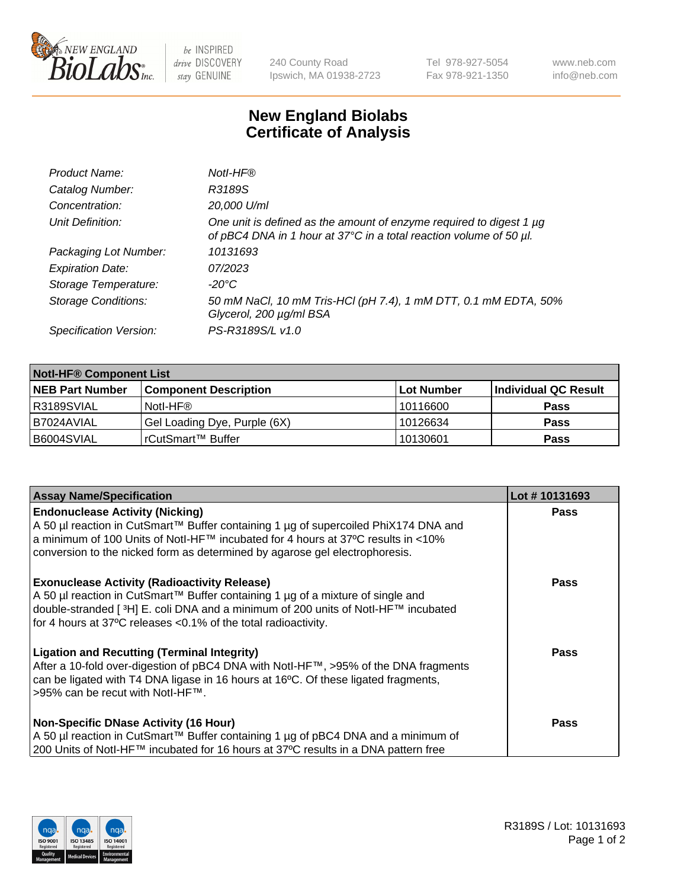

 $be$  INSPIRED drive DISCOVERY stay GENUINE

240 County Road Ipswich, MA 01938-2723 Tel 978-927-5054 Fax 978-921-1350 www.neb.com info@neb.com

## **New England Biolabs Certificate of Analysis**

| Product Name:              | Notl-HF®                                                                                                                                  |
|----------------------------|-------------------------------------------------------------------------------------------------------------------------------------------|
| Catalog Number:            | R3189S                                                                                                                                    |
| Concentration:             | 20,000 U/ml                                                                                                                               |
| Unit Definition:           | One unit is defined as the amount of enzyme required to digest 1 µg<br>of pBC4 DNA in 1 hour at 37°C in a total reaction volume of 50 µl. |
| Packaging Lot Number:      | 10131693                                                                                                                                  |
| <b>Expiration Date:</b>    | 07/2023                                                                                                                                   |
| Storage Temperature:       | $-20^{\circ}$ C                                                                                                                           |
| <b>Storage Conditions:</b> | 50 mM NaCl, 10 mM Tris-HCl (pH 7.4), 1 mM DTT, 0.1 mM EDTA, 50%<br>Glycerol, 200 µg/ml BSA                                                |
| Specification Version:     | PS-R3189S/L v1.0                                                                                                                          |

| <b>Notl-HF® Component List</b> |                              |            |                      |  |  |
|--------------------------------|------------------------------|------------|----------------------|--|--|
| <b>NEB Part Number</b>         | <b>Component Description</b> | Lot Number | Individual QC Result |  |  |
| R3189SVIAL                     | Notl-HF®                     | 10116600   | <b>Pass</b>          |  |  |
| I B7024AVIAL                   | Gel Loading Dye, Purple (6X) | 10126634   | <b>Pass</b>          |  |  |
| B6004SVIAL                     | l rCutSmart™ Buffer          | 10130601   | <b>Pass</b>          |  |  |

| <b>Assay Name/Specification</b>                                                                                                                                                                                                                                                                              | Lot #10131693 |
|--------------------------------------------------------------------------------------------------------------------------------------------------------------------------------------------------------------------------------------------------------------------------------------------------------------|---------------|
| <b>Endonuclease Activity (Nicking)</b><br>  A 50 µl reaction in CutSmart™ Buffer containing 1 µg of supercoiled PhiX174 DNA and                                                                                                                                                                              | <b>Pass</b>   |
| a minimum of 100 Units of Notl-HF™ incubated for 4 hours at 37°C results in <10%<br>conversion to the nicked form as determined by agarose gel electrophoresis.                                                                                                                                              |               |
| <b>Exonuclease Activity (Radioactivity Release)</b><br>  A 50 µl reaction in CutSmart™ Buffer containing 1 µg of a mixture of single and<br>double-stranded [ <sup>3</sup> H] E. coli DNA and a minimum of 200 units of Notl-HF™ incubated<br>for 4 hours at 37°C releases <0.1% of the total radioactivity. | Pass          |
| <b>Ligation and Recutting (Terminal Integrity)</b><br>After a 10-fold over-digestion of pBC4 DNA with Notl-HF™, >95% of the DNA fragments<br>can be ligated with T4 DNA ligase in 16 hours at 16 <sup>o</sup> C. Of these ligated fragments,<br>1>95% can be recut with NotI-HF™.                            | Pass          |
| <b>Non-Specific DNase Activity (16 Hour)</b><br>A 50 µl reaction in CutSmart™ Buffer containing 1 µg of pBC4 DNA and a minimum of<br>200 Units of Notl-HF™ incubated for 16 hours at 37°C results in a DNA pattern free                                                                                      | <b>Pass</b>   |